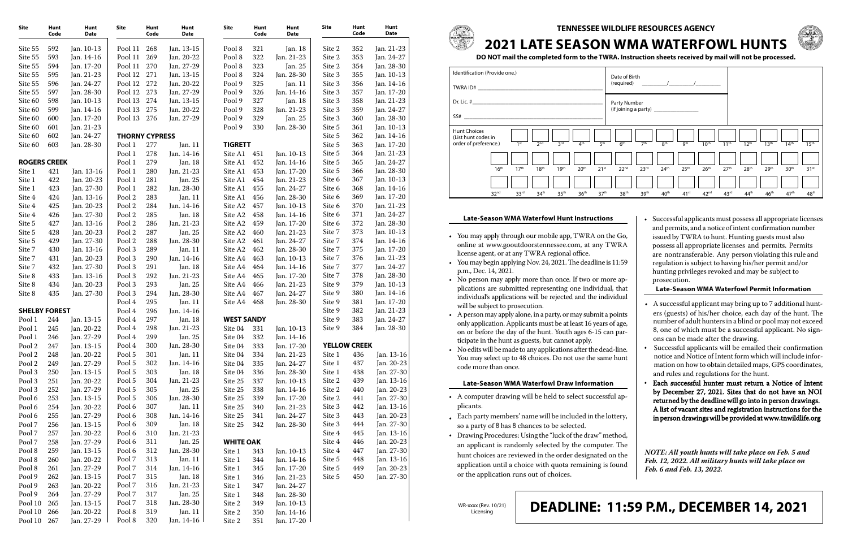**TENNESSEE WILDLIFE RESOURCES AGENCY**



# **2021 LATE SEASON WMA WATERFOWL HUNTS**

**DO NOT mail the completed form to the TWRA. Instruction sheets received by mail will not be processed.**

| Identification (Provide one.)<br>TWRA ID#                           |                  |                  |                  |                  |                  | Date of Birth<br>(required) |                  |                  |                  |                  |                  |                  |                  |  |
|---------------------------------------------------------------------|------------------|------------------|------------------|------------------|------------------|-----------------------------|------------------|------------------|------------------|------------------|------------------|------------------|------------------|--|
| Dr. Lic. #<br>SS#                                                   |                  |                  |                  |                  |                  | Party Number                |                  |                  |                  |                  |                  |                  |                  |  |
| <b>Hunt Choices</b><br>(List hunt codes in<br>order of preference.) |                  | 1 <sup>st</sup>  | 2 <sub>nd</sub>  | 3 <sup>rd</sup>  | 4 <sup>th</sup>  | 5 <sup>th</sup>             | 6 <sup>th</sup>  | 7 <sup>th</sup>  | 8 <sup>th</sup>  | gth              | 10 <sup>th</sup> | 11 <sup>th</sup> | 12 <sup>th</sup> |  |
|                                                                     | 16 <sup>th</sup> | 17 <sup>th</sup> | 18 <sup>th</sup> | 19 <sup>th</sup> | 20 <sup>th</sup> | 21 <sup>st</sup>            | 22 <sup>nd</sup> | 23 <sup>rd</sup> | 24 <sup>th</sup> | 25 <sup>th</sup> | 26 <sup>th</sup> | 27 <sup>th</sup> | 28 <sup>th</sup> |  |
|                                                                     | 32 <sup>nd</sup> | 33 <sup>rd</sup> | 34 <sup>th</sup> | 35 <sup>th</sup> | 36 <sup>th</sup> | 37 <sup>th</sup>            | 38 <sup>th</sup> | 39 <sup>th</sup> | 40 <sup>th</sup> | 41 <sup>st</sup> | 42 <sup>nd</sup> | 43 <sup>rd</sup> | 44 <sup>tl</sup> |  |

WR-xxxx (Rev. 10/21) Licensing



## **DEADLINE: 11:59 P.M., DECEMBER 14, 2021**

### **Late-Season WMA Waterfowl Hunt Instructions**

- You may apply through our mobile app, TWRA on the Go, online at www.gooutdoorstennessee.com, at any TWRA license agent, or at any TWRA regional office.
- You may begin applying Nov. 24, 2021. The deadline is 11:59 p.m., Dec. 14, 2021.
- No person may apply more than once. If two or more applications are submitted representing one individual, tha individual's applications will be rejected and the individua will be subject to prosecution.
- A person may apply alone, in a party, or may submit a points only application. Applicants must be at least 16 years of age, on or before the day of the hunt. Youth ages 6-15 can participate in the hunt as guests, but cannot apply.
- No edits will be made to any applications after the dead-line. You may select up to 48 choices. Do not use the same hun code more than once.

#### **Late-Season WMA Waterfowl Draw Information**

- A computer drawing will be held to select successful applicants.
- Each party members' name will be included in the lottery, so a party of 8 has 8 chances to be selected.
- Drawing Procedures: Using the "luck of the draw" method, an applicant is randomly selected by the computer. The hunt choices are reviewed in the order designated on the application until a choice with quota remaining is found or the application runs out of choices.



| э,<br>A<br>9<br>)-<br>at                                            | • Successful applicants must possess all appropriate licenses<br>and permits, and a notice of intent confirmation number<br>issued by TWRA to hunt. Hunting guests must also<br>possess all appropriate licenses and permits. Permits<br>are nontransferable. Any person violating this rule and<br>regulation is subject to having his/her permit and/or<br>hunting privileges revoked and may be subject to<br>prosecution.<br><b>Late-Season WMA Waterfowl Permit Information</b>                                                                                                                                                                                                                                                                                                                                              |
|---------------------------------------------------------------------|-----------------------------------------------------------------------------------------------------------------------------------------------------------------------------------------------------------------------------------------------------------------------------------------------------------------------------------------------------------------------------------------------------------------------------------------------------------------------------------------------------------------------------------------------------------------------------------------------------------------------------------------------------------------------------------------------------------------------------------------------------------------------------------------------------------------------------------|
| al<br>ts<br>e,<br>r-<br>e.<br>'n.<br>$\overline{\phantom{a}}$<br>y, | • A successful applicant may bring up to 7 additional hunt-<br>ers (guests) of his/her choice, each day of the hunt. The<br>number of adult hunters in a blind or pool may not exceed<br>8, one of which must be a successful applicant. No sign-<br>ons can be made after the drawing.<br>Successful applicants will be emailed their confirmation<br>notice and Notice of Intent form which will include infor-<br>mation on how to obtain detailed maps, GPS coordinates,<br>and rules and regulations for the hunt.<br>Each successful hunter must return a Notice of Intent<br>by December 27, 2021. Sites that do not have an NOI<br>returned by the deadline will go into in person drawings.<br>A list of vacant sites and registration instructions for the<br>in person drawings will be provided at www.tnwildlife.org |
| d,<br>e<br>e<br>d                                                   | NOTE: All youth hunts will take place on Feb. 5 and<br>Feb. 12, 2022. All military hunts will take place on<br>Feb. 6 and Feb. 13, 2022.                                                                                                                                                                                                                                                                                                                                                                                                                                                                                                                                                                                                                                                                                          |

| Site                 | Hunt<br>Code | Hunt<br><b>Date</b>      | Site                  | Hunt<br>Code | Hunt<br><b>Date</b> | Site              | Hunt<br>Code | Hunt<br><b>Date</b> | Site   | Hunt<br>Code        | Hunt<br><b>Date</b> |
|----------------------|--------------|--------------------------|-----------------------|--------------|---------------------|-------------------|--------------|---------------------|--------|---------------------|---------------------|
| Site 55              | 592          | Jan. 10-13               | Pool 11               | 268          | Jan. 13-15          | Pool 8            | 321          | Jan. 18             | Site 2 | 352                 | Jan. 21-23          |
| Site 55              | 593          | Jan. 14-16               | Pool 11               | 269          | Jan. 20-22          | Pool 8            | 322          | Jan. 21-23          | Site 2 | 353                 | Jan. 24-27          |
| Site 55              | 594          | Jan. 17-20               | Pool 11               | 270          | Jan. 27-29          | Pool 8            | 323          | Jan. 25             | Site 2 | 354                 | Jan. 28-30          |
| Site 55              | 595          | Jan. 21-23               | Pool 12               | 271          | Jan. 13-15          | Pool 8            | 324          | Jan. 28-30          | Site 3 | 355                 | Jan. 10-13          |
| Site 55              | 596          | Jan. 24-27               | Pool 12               | 272          | Jan. 20-22          | Pool 9            | 325          | Jan. 11             | Site 3 | 356                 | Jan. 14-16          |
| Site 55              | 597          | Jan. 28-30               | Pool 12               | 273          | Jan. 27-29          | Pool 9            | 326          | Jan. 14-16          | Site 3 | 357                 | Jan. 17-20          |
| Site 60              | 598          | Jan. 10-13               | Pool 13               | 274          | Jan. 13-15          | Pool 9            | 327          | Jan. 18             | Site 3 | 358                 | Jan. 21-23          |
| Site 60              | 599          | Jan. 14-16               | Pool 13               | 275          | Jan. 20-22          | Pool 9            | 328          | Jan. 21-23          | Site 3 | 359                 | Jan. 24-27          |
| Site 60              | 600          | Jan. 17-20               | Pool 13               | 276          | Jan. 27-29          | Pool 9            | 329          | Jan. 25             | Site 3 | 360                 | Jan. 28-30          |
| Site 60              | 601          | Jan. 21-23               |                       |              |                     | Pool 9            | 330          | Jan. 28-30          | Site 5 | 361                 | Jan. 10-13          |
| Site 60              | 602          | Jan. 24-27               | <b>THORNY CYPRESS</b> |              |                     |                   |              |                     | Site 5 | 362                 | Jan. 14-16          |
| Site 60              | 603          | Jan. 28-30               | Pool 1                | 277          | Jan. 11             | <b>TIGRETT</b>    |              |                     | Site 5 | 363                 | Jan. 17-20          |
|                      |              |                          | Pool 1                | 278          | Jan. 14-16          | Site A1           | 451          | Jan. 10-13          | Site 5 | 364                 | Jan. 21-23          |
| <b>ROGERS CREEK</b>  |              |                          | Pool 1                | 279          | Jan. 18             | Site A1           | 452          | Jan. 14-16          | Site 5 | 365                 | Jan. 24-27          |
| Site 1               | 421          | Jan. 13-16               | Pool 1                | 280          | Jan. 21-23          | Site A1           | 453          | Jan. 17-20          | Site 5 | 366                 | Jan. 28-30          |
| Site 1               | 422          | Jan. 20-23               | Pool 1                | 281          | Jan. 25             | Site A1           | 454          | Jan. 21-23          | Site 6 | 367                 | Jan. 10-13          |
| Site 1               | 423          | Jan. 27-30               | Pool 1                | 282          | Jan. 28-30          | Site A1           | 455          | Jan. 24-27          | Site 6 | 368                 | Jan. 14-16          |
| Site 4               | 424          | Jan. 13-16               | Pool 2                | 283          | Jan. 11             | Site A1           | 456          | Jan. 28-30          | Site 6 | 369                 | Jan. 17-20          |
| Site 4               | 425          | Jan. 20-23               | Pool 2                | 284          | Jan. 14-16          | Site A2           | 457          | Jan. 10-13          | Site 6 | 370                 | Jan. 21-23          |
| Site 4               | 426          | Jan. 27-30               | Pool 2                | 285          | Jan. 18             | Site A2           | 458          | Jan. 14-16          | Site 6 | 371                 | Jan. 24-27          |
| Site 5               | 427          | Jan. 13-16               | Pool 2                | 286          | Jan. 21-23          | Site A2           | 459          | Jan. 17-20          | Site 6 | 372                 | Jan. 28-30          |
| Site 5               | 428          | Jan. 20-23               | Pool 2                | 287          | Jan. 25             | Site A2           | 460          | Jan. 21-23          | Site 7 | 373                 | Jan. 10-13          |
| Site 5               | 429          | Jan. 27-30               | Pool 2                | 288          | Jan. 28-30          | Site A2           | 461          | Jan. 24-27          | Site 7 | 374                 | Jan. 14-16          |
| Site 7               | 430          | Jan. 13-16               | Pool 3                | 289          | Jan. 11             | Site A2           | 462          | Jan. 28-30          | Site 7 | 375                 | Jan. 17-20          |
| Site 7               | 431          | Jan. 20-23               | Pool 3                | 290          | Jan. 14-16          | Site A4           | 463          | Jan. 10-13          | Site 7 | 376                 | Jan. 21-23          |
|                      | 432          | Jan. 27-30               | Pool 3                | 291          | Jan. 18             | Site A4           | 464          |                     | Site 7 | 377                 | Jan. 24-27          |
| Site 7               | 433          |                          | Pool 3                | 292          | Jan. 21-23          | Site A4           | 465          | Jan. 14-16          | Site 7 | 378                 | Jan. 28-30          |
| Site 8               | 434          | Jan. 13-16<br>Jan. 20-23 | Pool 3                | 293          |                     |                   |              | Jan. 17-20          | Site 9 | 379                 | Jan. 10-13          |
| Site 8               | 435          |                          | Pool 3                | 294          | Jan. 25             | Site A4           | 466          | Jan. 21-23          | Site 9 | 380                 |                     |
| Site 8               |              | Jan. 27-30               |                       |              | Jan. 28-30          | Site A4           | 467          | Jan. 24-27          | Site 9 | 381                 | Jan. 14-16          |
|                      |              |                          | Pool 4                | 295          | Jan. 11             | Site A4           | 468          | Jan. 28-30          |        | 382                 | Jan. 17-20          |
| <b>SHELBY FOREST</b> |              |                          | Pool 4                | 296          | Jan. 14-16          |                   |              |                     | Site 9 | 383                 | Jan. 21-23          |
| Pool 1               | 244          | Jan. 13-15               | Pool 4                | 297          | Jan. 18             | <b>WEST SANDY</b> |              |                     | Site 9 |                     | Jan. 24-27          |
| Pool 1               | 245          | Jan. 20-22               | Pool 4                | 298          | Jan. 21-23          | Site 04           | 331          | Jan. 10-13          | Site 9 | 384                 | Jan. 28-30          |
| Pool 1               | 246          | Jan. 27-29               | Pool 4                | 299          | Jan. 25             | Site 04           | 332          | Jan. 14-16          |        |                     |                     |
| Pool 2               | 247          | Jan. 13-15               | Pool 4                | 300          | Jan. 28-30          | Site 04           | 333          | Jan. 17-20          |        | <b>YELLOW CREEK</b> |                     |
| Pool 2               | 248          | Jan. 20-22               | Pool 5                | 301          | Jan. 11             | Site 04           | 334          | Jan. 21-23          | Site 1 | 436                 | Jan. 13-16          |
| Pool 2               | 249          | Jan. 27-29               | Pool 5                | 302          | Jan. 14-16          | Site 04           | 335          | Jan. 24-27          | Site 1 | 437                 | Jan. 20-23          |
| Pool 3               | 250          | Jan. 13-15               | Pool 5                | 303          | Jan. 18             | Site 04           | 336          | Jan. 28-30          | Site 1 | 438                 | Jan. 27-30          |
| Pool 3               | 251          | Jan. 20-22               | Pool 5                | 304          | Jan. 21-23          | Site 25           | 337          | Jan. 10-13          | Site 2 | 439                 | Jan. 13-16          |
| Pool 3               | 252          | Jan. 27-29               | Pool 5                | 305          | Jan. 25             | Site 25           | 338          | Jan. 14-16          | Site 2 | 440                 | Jan. 20-23          |
| Pool 6               | 253          | Jan. 13-15               | Pool 5                | 306          | Jan. 28-30          | Site 25           | 339          | Jan. 17-20          | Site 2 | 441                 | Jan. 27-30          |
| Pool 6               | 254          | Jan. 20-22               | Pool 6                | 307          | Jan. 11             | Site 25           | 340          | Jan. 21-23          | Site 3 | 442                 | Jan. 13-16          |
| Pool 6               | 255          | Jan. 27-29               | Pool 6                | 308          | Jan. 14-16          | Site 25           | 341          | Jan. 24-27          | Site 3 | 443                 | Jan. 20-23          |
| Pool 7               | 256          | Jan. 13-15               | Pool 6                | 309          | Jan. 18             | Site 25           | 342          | Jan. 28-30          | Site 3 | 444                 | Jan. 27-30          |
| Pool 7               | 257          | Jan. 20-22               | Pool 6                | 310          | Jan. 21-23          |                   |              |                     | Site 4 | 445                 | Jan. 13-16          |
| Pool 7               | 258          | Jan. 27-29               | Pool 6                | 311          | Jan. 25             | <b>WHITE OAK</b>  |              |                     | Site 4 | 446                 | Jan. 20-23          |
| Pool 8               | 259          | Jan. 13-15               | Pool 6                | 312          | Jan. 28-30          | Site 1            | 343          | Jan. 10-13          | Site 4 | 447                 | Jan. 27-30          |
| Pool 8               | 260          | Jan. 20-22               | Pool 7                | 313          | Jan. 11             | Site 1            | 344          | Jan. 14-16          | Site 5 | 448                 | Jan. 13-16          |
| Pool 8               | 261          | Jan. 27-29               | Pool 7                | 314          | Jan. 14-16          | Site 1            | 345          | Jan. 17-20          | Site 5 | 449                 | Jan. 20-23          |
| Pool 9               | 262          | Jan. 13-15               | Pool 7                | 315          | Jan. 18             | Site 1            | 346          | Jan. 21-23          | Site 5 | 450                 | Jan. 27-30          |
| Pool 9               | 263          | Jan. 20-22               | Pool 7                | 316          | Jan. 21-23          | Site 1            | 347          | Jan. 24-27          |        |                     |                     |
| Pool 9               | 264          | Jan. 27-29               | Pool 7                | 317          | Jan. 25             | Site 1            | 348          | Jan. 28-30          |        |                     |                     |
| Pool 10              | 265          | Jan. 13-15               | Pool 7                | 318          | Jan. 28-30          | Site 2            | 349          | Jan. 10-13          |        |                     |                     |
| Pool 10              | 266          | Jan. 20-22               | Pool 8                | 319          | Jan. 11             | Site 2            | 350          | Jan. 14-16          |        |                     |                     |
| Pool 10              | 267          | Jan. 27-29               | Pool 8                | 320          | Jan. 14-16          | Site 2            | 351          | Jan. 17-20          |        |                     |                     |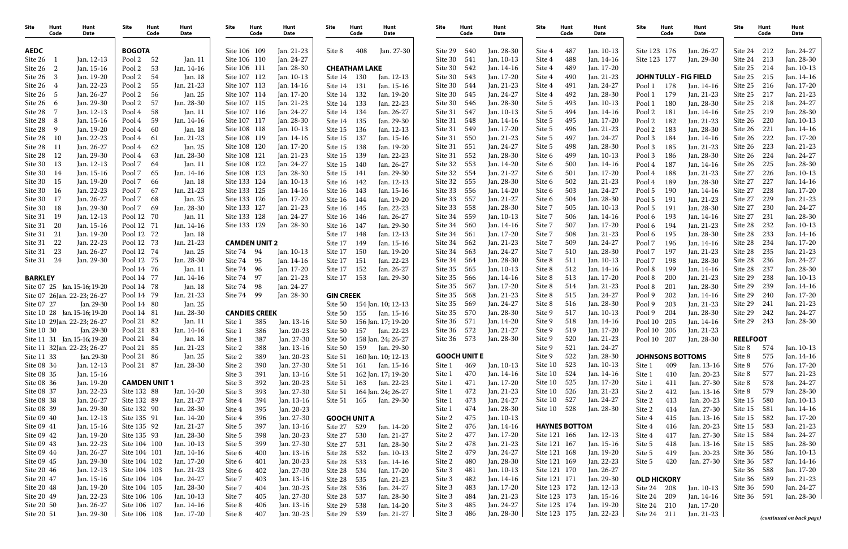| Site                     | Hunt<br>Code   | Hunt<br>Date                 | Site                       | Hunt<br>Code         | Hunt<br>Date             | Site                         | Hunt<br>Code         | Hunt<br>Date             | Site               | Hunt<br>Code         | Hunt<br>Date             | Site               | Hunt<br>Code        | Hunt<br>Date             | Site               | Hunt<br>Code         | Hunt<br>Date             | Site                    | Hunt<br>Code | <b>Hunt</b><br>Date           | <b>Site</b>        | <b>Hunt</b><br>Code | Hunt<br>Date             |
|--------------------------|----------------|------------------------------|----------------------------|----------------------|--------------------------|------------------------------|----------------------|--------------------------|--------------------|----------------------|--------------------------|--------------------|---------------------|--------------------------|--------------------|----------------------|--------------------------|-------------------------|--------------|-------------------------------|--------------------|---------------------|--------------------------|
| <b>AEDC</b>              |                |                              | <b>BOGOTA</b>              |                      |                          | Site 106 109                 |                      | Jan. 21-23               | Site 8             | 408                  | Jan. 27-30               | Site 29            | 540                 | Jan. 28-30               | Site 4             | 487                  | Jan. 10-13               | Site 123 176            |              | Jan. 26-27                    | Site 24            | 212                 | Jan. 24-27               |
| Site 26                  |                | Jan. 12-13                   | Pool 2                     | 52                   | Jan. 11                  | Site 106 110                 |                      | Jan. 24-27               |                    |                      |                          | Site 30            | 541                 | Jan. 10-13               | Site 4             | 488                  | Jan. 14-16               | Site 123 177            |              | Jan. 29-30                    | Site 24            | 213                 | Jan. 28-30               |
| Site 26                  | $\overline{2}$ | Jan. 15-16                   | Pool 2                     | 53                   | Jan. 14-16               | Site 106 111                 |                      | Jan. 28-30               |                    | <b>CHEATHAM LAKE</b> |                          | Site 30            | 542                 | Jan. 14-16               | Site 4             | 489                  | Jan. 17-20               |                         |              |                               | Site 25            | 214                 | Jan. 10-13               |
| Site 26                  |                | Jan. 19-20                   | Pool 2                     | -54                  | Jan. 18                  | Site 107 112                 |                      | Jan. 10-13               | Site 14 130        |                      | Jan. 12-13               | Site 30            | 543                 | Jan. 17-20               | Site 4             | 490                  | Jan. 21-23               |                         |              | <b>JOHN TULLY - FIG FIELD</b> | Site 25            | 215                 | Jan. 14-16               |
| Site 26                  |                | Jan. 22-23                   | Pool 2                     | 55                   | Jan. 21-23               | Site 107 113                 |                      | Jan. 14-16               | Site 14 131        |                      | Jan. 15-16               | Site 30            | 544                 | Jan. 21-23               | Site 4             | 491                  | Jan. 24-27               | Pool 1                  | 178          | Jan. 14-16                    | Site 25            | 216                 | Jan. 17-20               |
| Site 26                  |                | Jan. 26-27                   | Pool 2                     | 56                   | Jan. 25                  | Site 107 114                 |                      | Jan. 17-20               | Site 14            | 132                  | Jan. 19-20               | Site 30            | 545                 | Jan. 24-27               | Site 4             | 492                  | Jan. 28-30               | Pool 1                  | 179          | Jan. 21-23                    | Site 25            | 217                 | Jan. 21-23               |
| Site 26                  | - 6            | Jan. 29-30                   | Pool 2                     | 57                   | Jan. 28-30               | Site 107 115                 |                      | Jan. 21-23               | Site 14            | 133                  | Jan. 22-23               | Site 30            | 546                 | Jan. 28-30               | Site 5             | 493                  | Jan. 10-13               | Pool 1                  | 180          | Jan. 28-30                    | Site 25            | 218                 | Jan. 24-27               |
| Site 28                  |                | Jan. 12-13                   | Pool 4                     | 58                   | Jan. 11                  | Site 107 116                 |                      | Jan. 24-27               | Site 14            | 134                  | Jan. 26-27               | Site 31            | 547                 | Jan. 10-13               | Site 5             | 494<br>495           | Jan. 14-16               | Pool 2                  | 181          | Jan. 14-16                    | Site 25            | 219                 | Jan. 28-30               |
| Site 28<br>Site 28       | -8<br>- 9      | Jan. 15-16<br>Jan. 19-20     | Pool 4<br>Pool 4           | 59<br>-60            | Jan. 14-16               | Site 107 117<br>Site 108 118 |                      | Jan. 28-30<br>Jan. 10-13 | Site 14            | 135                  | Jan. 29-30               | Site 31<br>Site 31 | 548<br>549          | Jan. 14-16<br>Jan. 17-20 | Site 5             | 496                  | Jan. 17-20<br>Jan. 21-23 | Pool 2<br>Pool 2        | 182<br>183   | Jan. 21-23<br>Jan. 28-30      | Site 26<br>Site 26 | 220<br>221          | Jan. 10-13<br>Jan. 14-16 |
| Site 28                  | -10            | Jan. 22-23                   | Pool 4                     | -61                  | Jan. 18<br>Jan. 21-23    | Site 108 119                 |                      | Jan. 14-16               | Site 15<br>Site 15 | 136<br>137           | Jan. 12-13<br>Jan. 15-16 | Site 31            | 550                 | Jan. 21-23               | Site 5<br>Site 5   | 497                  | Jan. 24-27               | Pool 3                  | 184          | Jan. 14-16                    | Site 26            | 222                 | Jan. 17-20               |
| Site 28                  | -11            | Jan. 26-27                   | Pool 4                     | 62                   | Jan. 25                  | Site 108 120                 |                      | Jan. 17-20               | Site 15            | 138                  | Jan. 19-20               | Site 31            | 551                 | Jan. 24-27               | Site 5             | 498                  | Jan. 28-30               | Pool 3                  | 185          | Jan. 21-23                    | Site 26            | 223                 | Jan. 21-23               |
| Site 28                  | 12             | Jan. 29-30                   | Pool 4                     | 63                   | Jan. 28-30               | Site 108 121                 |                      | Jan. 21-23               | Site 15            | 139                  | Jan. 22-23               | Site 31            | 552                 | Jan. 28-30               | Site 6             | 499                  | Jan. 10-13               | Pool 3                  | 186          | Jan. 28-30                    | Site 26            | 224                 | Jan. 24-27               |
| Site 30                  | 13             | Jan. 12-13                   | Pool 7                     | -64                  | Jan. 11                  | Site 108 122                 |                      | Jan. 24-27               | Site 15            | 140                  | Jan. 26-27               | Site 32            | 553                 | Jan. 14-20               | Site 6             | 500                  | Jan. 14-16               | Pool 4                  | 187          | Jan. 14-16                    | Site 26            | 225                 | Jan. 28-30               |
| Site 30                  | 14             | Jan. 15-16                   | Pool 7                     | 65                   | Jan. 14-16               | Site 108 123                 |                      | Jan. 28-30               | Site 15            | 141                  | Jan. 29-30               | Site 32            | 554                 | Jan. 21-27               | Site 6             | 501                  | Jan. 17-20               | Pool 4                  | 188          | Jan. 21-23                    | Site 27            | 226                 | Jan. 10-13               |
| Site 30                  | 15             | Jan. 19-20                   | Pool 7                     | 66                   | Jan. 18                  | Site 133 124                 |                      | Jan. 10-13               | Site 16            | 142                  | Jan. 12-13               | Site 32            | 555                 | Jan. 28-30               | Site 6             | 502                  | Jan. 21-23               | Pool 4                  | 189          | Jan. 28-30                    | Site 27            | 227                 | Jan. 14-16               |
| Site 30                  | 16             | Jan. 22-23                   | Pool 7                     | 67                   | Jan. 21-23               | Site 133 125                 |                      | Jan. 14-16               | Site 16            | 143                  | Jan. 15-16               | Site 33            | 556                 | Jan. 14-20               | Site 6             | 503                  | Jan. 24-27               | Pool 5                  | 190          | Jan. 14-16                    | Site 27            | 228                 | Jan. 17-20               |
| Site 30                  | 17             | Jan. 26-27                   | Pool 7                     | 68                   | Jan. 25                  | Site 133 126                 |                      | Jan. 17-20               | Site 16            | 144                  | Jan. 19-20               | Site 33            | 557                 | Jan. 21-27               | Site 6             | 504                  | Jan. 28-30               | Pool 5                  | 191          | Jan. 21-23                    | Site 27            | 229                 | Jan. 21-23               |
| Site 30                  | 18             | Jan. 29-30                   | Pool 7                     | 69                   | Jan. 28-30               | Site 133 127                 |                      | Jan. 21-23               | Site 16            | 145                  | Jan. 22-23               | Site 33            | 558                 | Jan. 28-30               | Site 7             | 505                  | Jan. 10-13               | Pool 5                  | 191          | Jan. 28-30                    | Site 27            | 230                 | Jan. 24-27               |
| Site 31                  | 19             | Jan. 12-13                   | Pool 12 70                 |                      | Jan. 11                  | Site 133 128                 |                      | Jan. 24-27               | Site 16            | 146                  | Jan. 26-27               | Site 34            | 559                 | Jan. 10-13               | Site 7             | 506                  | Jan. 14-16               | Pool 6                  | 193          | Jan. 14-16                    | Site 27            | -231                | Jan. 28-30               |
| Site 31                  | 20             | Jan. 15-16                   | Pool 12 71                 |                      | Jan. 14-16               | Site 133 129                 |                      | Jan. 28-30               | Site 16            | 147                  | Jan. 29-30               | Site 34            | 560                 | Jan. 14-16               | Site 7             | 507                  | Jan. 17-20               | Pool 6                  | 194          | Jan. 21-23                    | Site 28            | 232                 | Jan. 10-13               |
| Site 31                  | 21             | Jan. 19-20                   | Pool 12 72                 |                      | Jan. 18                  |                              |                      |                          | Site 17            | 148                  | Jan. 12-13               | Site 34            | 561                 | Jan. 17-20               | Site 7             | 508                  | Jan. 21-23               | Pool 6                  | 195          | Jan. 28-30                    | Site 28            | 233                 | Jan. 14-16               |
| Site 31                  | 22             | Jan. 22-23                   | Pool 12 73                 |                      | Jan. 21-23               |                              | <b>CAMDEN UNIT 2</b> |                          | Site 17            | 149                  | Jan. 15-16               | Site 34            | 562                 | Jan. 21-23               | Site 7             | 509                  | Jan. 24-27               | Pool 7                  | 196          | Jan. 14-16                    | Site 28            | 234                 | Jan. 17-20               |
| Site 31                  | 23             | Jan. 26-27                   | Pool 12 74                 |                      | Jan. 25                  | Site 74 94                   |                      | Jan. 10-13               | Site 17            | 150                  | Jan. 19-20               | Site 34            | 563                 | Jan. 24-27               | Site 7             | 510                  | Jan. 28-30               | Pool 7                  | 197          | Jan. 21-23                    | Site 28            | 235                 | Jan. 21-23               |
| Site 31                  | 24             | Jan. 29-30                   | Pool 12 75                 |                      | Jan. 28-30               | Site 74                      | 95                   | Jan. 14-16               | Site 17            | 151                  | Jan. 22-23               | Site 34            | 564                 | Jan. 28-30               | Site 8             | 511                  | Jan. 10-13               | Pool 7                  | 198          | Jan. 28-30                    | Site 28            | 236                 | Jan. 24-27               |
|                          |                |                              | Pool 14 76                 |                      | Jan. 11                  | Site 74 96                   |                      | Jan. 17-20               | Site 17            | 152                  | Jan. 26-27               | Site 35            | 565                 | Jan. 10-13               | Site 8             | 512                  | Jan. 14-16               | Pool 8                  | 199          | Jan. 14-16                    | Site 28            | 237                 | Jan. 28-30               |
| <b>BARKLEY</b>           |                |                              | Pool 14 77                 |                      | Jan. 14-16               | Site 74                      | - 97                 | Jan. 21-23               | Site 17            | 153                  | Jan. 29-30               | Site 35            | 566                 | Jan. 14-16               | Site 8             | 513                  | Jan. 17-20               | Pool 8                  | 200          | Jan. 21-23                    | Site 29            | 238                 | Jan. 10-13               |
|                          |                | Site 07 25 Jan. 15-16; 19-20 | Pool 14 78                 |                      | Jan. 18                  | Site 74 98                   |                      | Jan. 24-27               |                    |                      |                          | Site 35            | 567                 | Jan. 17-20               | Site 8             | 514                  | Jan. 21-23               | Pool 8                  | 201          | Jan. 28-30                    | Site 29            | 239                 | Jan. 14-16               |
|                          |                | Site 07 26Jan. 22-23; 26-27  | Pool 14 79                 |                      | Jan. 21-23               | Site 74 99                   |                      | Jan. 28-30               | <b>GIN CREEK</b>   |                      |                          | Site 35            | 568                 | Jan. 21-23               | Site 8             | 515                  | Jan. 24-27               | Pool 9                  | 202          | Jan. 14-16                    | Site 29            | 240                 | Jan. 17-20               |
| Site 07 27               |                | Jan. 29-30                   | Pool 14 80                 |                      | Jan. 25                  |                              |                      |                          | Site 50            |                      | 154 Jan. 10; 12-13       | Site 35            | 569                 | Jan. 24-27               | Site 8             | 516                  | Jan. 28-30               | Pool 9                  | 203          | Jan. 21-23                    | Site 29            | 241                 | Jan. 21-23               |
|                          |                | Site 10 28 Jan. 15-16; 19-20 | Pool 14 81                 |                      | Jan. 28-30               |                              | <b>CANDIES CREEK</b> |                          | Site 50            | 155                  | Jan. 15-16               | Site 35            | 570                 | Jan. 28-30               | Site 9             | 517                  | Jan. 10-13               | Pool 9                  | 204          | Jan. 28-30                    | Site 29            | 242                 | Jan. 24-27               |
|                          |                | Site 10 29Jan. 22-23; 26-27  | Pool 21 82                 |                      | Jan. 11                  | Site 1                       | 385                  | Jan. 13-16               | Site 50            |                      | 156 Jan. 17; 19-20       | Site 36            | 571                 | Jan. 14-20               | Site 9             | 518                  | Jan. 14-16               | Pool 10                 | 205          | Jan. 14-16                    | Site 29            | 243                 | Jan. 28-30               |
| Site 10 30               |                | Jan. 29-30                   | Pool 21 83                 |                      | Jan. 14-16               | Site 1                       | 386                  | Jan. 20-23               | Site 50            | 157                  | Jan. 22-23               | Site 36            | 572                 | Jan. 21-27               | Site 9             | 519                  | Jan. 17-20               | Pool 10                 | 206          | Jan. 21-23                    |                    |                     |                          |
|                          |                | Site 11 31 Jan. 15-16; 19-20 | Pool 21 84                 |                      | Jan. 18                  | Site 1                       | 387                  | Jan. 27-30               | Site 50            |                      | 158 Jan. 24; 26-27       | Site 36            | 573                 | Jan. 28-30               | Site 9             | 520                  | Jan. 21-23               | Pool 10 207             |              | Jan. 28-30                    | <b>REELFOOT</b>    |                     |                          |
|                          |                | Site 11 32Jan. 22-23; 26-27  | Pool 21 85                 |                      | Jan. 21-23               | Site 2                       | 388                  | Jan. 13-16               | Site 50            | 159                  | Jan. 29-30               |                    |                     |                          | Site 9             | 521                  | Jan. 24-27               |                         |              |                               | Site 8             | 574                 | Jan. 10-13               |
| Site 11 33               |                | Jan. 29-30                   | Pool 21 86                 |                      | Jan. 25                  | Site 2                       | 389                  | Jan. 20-23               | Site 51            |                      | 160 Jan. 10; 12-13       |                    | <b>GOOCH UNIT E</b> |                          | Site 9             | 522                  | Jan. 28-30               | <b>JOHNSONS BOTTOMS</b> |              |                               | Site 8             | 575                 | Jan. 14-16               |
| Site 08 34               |                | Jan. 12-13                   | Pool 21 87                 |                      | Jan. 28-30               | Site 2                       | 390                  | Jan. 27-30               | Site 51            |                      | 161 Jan. 15-16           | Site 1             | 469                 | Jan. 10-13               | Site 10            | 523                  | Jan. 10-13               | Site 1                  | 409          | Jan. 13-16                    | Site 8             | 576                 | Jan. 17-20               |
| Site 08 35               |                | Jan. 15-16                   |                            |                      |                          | Site 3                       | 391                  | Jan. 13-16               | Site 51            |                      | 162 Jan. 17; 19-20       | Site 1             | 470                 | Jan. 14-16               | Site 10            | 524                  | Jan. 14-16               | Site 1                  | 410          | Jan. 20-23                    | Site 8             | 577                 | Jan. 21-23               |
| Site 08 36               |                | Jan. 19-20                   |                            | <b>CAMDEN UNIT 1</b> |                          | Site 3                       | 392                  | Jan. 20-23               | Site 51            | 163                  | Jan. 22-23               | Site 1             | 471                 | Jan. 17-20               | Site 10            | 525                  | Jan. 17-20               | Site 1                  | 411          | Jan. 27-30                    | Site 8             | 578                 | Jan. 24-27               |
| Site 08 37               |                | Jan. 22-23                   | Site 132 88                |                      | Jan. 14-20               | Site 3                       | 393                  | Jan. 27-30               | Site 51            |                      | 164 Jan. 24; 26-27       | Site 1             | 472                 | Jan. 21-23               | Site 10            | 526                  | Jan. 21-23               | Site 2                  | 412          | Jan. 13-16                    | Site 8             | 579                 | Jan. 28-30               |
| Site 08 38               |                | Jan. 26-27                   | Site 132 89                |                      | Jan. 21-27               | Site 4                       | 394                  | Jan. 13-16               | Site 51            | 165                  | Jan. 29-30               | Site 1             | 473<br>474          | Jan. 24-27               | Site 10<br>Site 10 | 527<br>528           | Jan. 24-27<br>Jan. 28-30 | Site 2                  | 413          | Jan. 20-23                    | Site 15            | 580                 | Jan. 10-13               |
| Site 08 39<br>Site 09 40 |                | Jan. 29-30                   | Site 132 90                |                      | Jan. 28-30<br>Jan. 14-20 | Site 4                       | 395                  | Jan. 20-23               |                    |                      |                          | Site 1             | 475                 | Jan. 28-30<br>Jan. 10-13 |                    |                      |                          | Site 2                  | 414          | Jan. 27-30                    | Site 15            | 581<br>582          | Jan. 14-16               |
| Site 09 41               |                | Jan. 12-13<br>Jan. 15-16     | Site 135 91<br>Site 135 92 |                      | Jan. 21-27               | Site 4                       | 396<br>397           | Jan. 27-30<br>Jan. 13-16 |                    | <b>GOOCH UNIT A</b>  |                          | Site 2<br>Site 2   | 476                 | Jan. 14-16               |                    | <b>HAYNES BOTTOM</b> |                          | Site 4                  | 415<br>416   | Jan. 13-16<br>Jan. 20-23      | Site 15<br>Site 15 | 583                 | Jan. 17-20<br>Jan. 21-23 |
| Site 09 42               |                | Jan. 19-20                   | Site 135 93                |                      | Jan. 28-30               | Site 5<br>Site 5             | 398                  | Jan. 20-23               | Site 27<br>Site 27 | 529<br>530           | Jan. 14-20<br>Jan. 21-27 | Site 2             | 477                 | Jan. 17-20               | Site 121 166       |                      | Jan. 12-13               | Site 4<br>Site 4        | 417          | Jan. 27-30                    | Site 15 584        |                     | Jan. 24-27               |
| Site 09 43               |                | Jan. 22-23                   |                            | Site 104 100         | Jan. 10-13               | Site 5                       | 399                  | Jan. 27-30               | Site 27            | 531                  | Jan. 28-30               | Site 2             | 478                 | Jan. 21-23               | Site 121 167       |                      | Jan. 15-16               | Site 5                  | 418          | Jan. 13-16                    | Site 15            | 585                 | Jan. 28-30               |
| Site 09 44               |                | Jan. 26-27                   |                            | Site 104 101         | Jan. 14-16               | Site 6                       | 400                  | Jan. 13-16               | Site 28            | 532                  | Jan. 10-13               | Site 2             | 479                 | Jan. 24-27               | Site 121 168       |                      | Jan. 19-20               | Site 5                  | 419          | Jan. 20-23                    | Site 36 586        |                     | Jan. 10-13               |
| Site 09 45               |                | Jan. 29-30                   |                            | Site 104 102         | Jan. 17-20               | Site 6                       | 401                  | Jan. 20-23               | Site 28            | 533                  | Jan. 14-16               | Site 2             | 480                 | Jan. 28-30               | Site 121 169       |                      | Jan. 22-23               | Site 5                  | 420          | Jan. 27-30                    | Site 36            | 587                 | Jan. 14-16               |
| Site 20 46               |                | Jan. 12-13                   |                            | Site 104 103         | Jan. 21-23               | Site 6                       | 402                  | Jan. 27-30               | Site 28            | 534                  | Jan. 17-20               | Site 3             | 481                 | Jan. 10-13               | Site 121 170       |                      | Jan. 26-27               |                         |              |                               | Site 36            | 588                 | Jan. 17-20               |
| Site 20 47               |                | Jan. 15-16                   |                            | Site 104 104         | Jan. 24-27               | Site 7                       | 403                  | Jan. 13-16               | Site 28            | 535                  | Jan. 21-23               | Site 3             | 482                 | Jan. 14-16               | Site 121 171       |                      | Jan. 29-30               | <b>OLD HICKORY</b>      |              |                               | Site 36            | 589                 | Jan. 21-23               |
| Site 20 48               |                | Jan. 19-20                   |                            | Site 104 105         | Jan. 28-30               | Site 7                       | 404                  | Jan. 20-23               | Site 28            | 536                  | Jan. 24-27               | Site 3             | 483                 | Jan. 17-20               | Site 123 172       |                      | Jan. 12-13               | Site 24                 | 208          | Jan. 10-13                    | Site 36            | 590                 | Jan. 24-27               |
| Site 20 49               |                | Jan. 22-23                   |                            | Site 106 106         | Jan. 10-13               | Site 7                       | 405                  | Jan. 27-30               | Site 28            | 537                  | Jan. 28-30               | Site 3             | 484                 | Jan. 21-23               | Site 123 173       |                      | Jan. 15-16               | Site 24 209             |              | Jan. 14-16                    | Site 36            | 591                 | Jan. 28-30               |
| Site 20 50               |                | Jan. 26-27                   |                            | Site 106 107         | Jan. 14-16               | Site 8                       | 406                  | Jan. 13-16               | Site 29            | 538                  | Jan. 14-20               | Site 3             | 485                 | Jan. 24-27               | Site 123 174       |                      | Jan. 19-20               | Site 24 210             |              | Jan. 17-20                    |                    |                     |                          |
| Site 20 51               |                | Jan. 29-30                   |                            | Site 106 108         | Jan. 17-20               | Site 8                       | 407                  | Jan. 20-23               | Site 29            | 539                  | Jan. 21-27               | Site 3             | 486                 | Jan. 28-30               | Site 123 175       |                      | Jan. 22-23               | Site 24 211             |              | Jan. 21-23                    |                    |                     |                          |
|                          |                |                              |                            |                      |                          |                              |                      |                          |                    |                      |                          |                    |                     |                          |                    |                      |                          |                         |              |                               |                    |                     | (continued on back page) |

| Site               | Hunt<br>Code | Hunt<br>Date                  | Site               | Hunt<br>Code | Hunt<br>Date                  |
|--------------------|--------------|-------------------------------|--------------------|--------------|-------------------------------|
| Site 123           | 176          | Jan. 26-27                    | Site 24            | 212          | Jan. 24-27                    |
| Site 123           | 177          | Jan. 29-30                    | Site 24            | 213          |                               |
|                    |              |                               |                    |              | Jan. 28-30                    |
|                    |              |                               | Site 25            | 214          | Jan. 10-13                    |
|                    |              | <b>JOHN TULLY - FIG FIELD</b> | Site 25            | 215          | Jan. 14-16                    |
| Pool 1             | 178          | Jan. 14-16                    | Site 25            | 216          | Jan. 17-20                    |
| Pool 1             | 179          | Jan. 21-23                    | Site 25            | 217          | Jan. 21-23                    |
| Pool 1             | 180          | Jan. 28-30                    | Site 25            | 218          | Jan. 24-27                    |
| Pool <sub>2</sub>  | 181          | Jan. 14-16                    | Site 25            | 219          | Jan. 28-30                    |
| Pool 2             | 182          | Jan. 21-23                    | Site 26            | 220          | Jan. 10-13                    |
| Pool 2             | 183          | Jan. 28-30                    | Site 26            | 221          | Jan. 14-16                    |
| Pool 3             | 184          | Jan. 14-16                    | Site 26            | 222          | Jan. 17-20                    |
| Pool 3             | 185          | Jan. 21-23                    | Site 26            | 223          | Jan. 21-23                    |
| Pool 3             | 186          | Jan. 28-30                    | Site 26            | 224          | Jan. 24-27                    |
| Pool 4             | 187          | Jan. 14-16                    | Site 26            | 225          | Jan. 28-30                    |
| Pool 4             | 188          | Jan. 21-23                    | Site 27            | 226          | Jan. 10-13                    |
| Pool 4             | 189          | Jan. 28-30                    | Site 27            | 227          | Jan. 14-16                    |
| Pool 5             | 190          | Jan. 14-16                    | Site 27            | 228          | Jan. 17-20                    |
| Pool 5             | 191          | Jan. 21-23                    | Site 27            | 229          | Jan. 21-23                    |
| Pool 5             | 191          | Jan. 28-30                    | Site 27            | 230          | Jan. 24-27                    |
| Pool 6             | 193          | Jan. 14-16                    | Site 27            | 231          | Jan. 28-30                    |
| Pool 6             | 194          | Jan. 21-23                    | Site 28            | 232          | Jan. 10-13                    |
| Pool 6             | 195          | Jan. 28-30                    | Site 28            | 233          | Jan. 14-16                    |
| Pool 7             | 196          | Jan. 14-16                    | Site 28            | 234          | Jan. 17-20                    |
| Pool 7             | 197          | Jan. 21-23                    | Site 28            | 235          | Jan. 21-23                    |
| Pool 7             | 198          | Jan. 28-30                    | Site 28            | 236          | Jan. 24-27                    |
| Pool 8             | 199          | Jan. 14-16                    | Site 28<br>Site 29 | 237          | Jan. 28-30                    |
| Pool 8<br>Pool 8   | 200          | Jan. 21-23                    | Site 29            | 238<br>239   | Jan. 10-13<br>Jan. 14-16      |
| Pool 9             | 201<br>202   | Jan. 28-30                    | Site 29            | 240          | Jan. 17-20                    |
| Pool 9             | 203          | Jan. 14-16<br>Jan. 21-23      | Site 29            | 241          | Jan. 21-23                    |
| Pool 9             | 204          | Jan. 28-30                    | Site 29            | 242          | Jan. 24-27                    |
| Pool 10            | 205          | Jan. 14-16                    | Site 29            | 243          | Jan. 28-30                    |
| Pool 10            | 206          | Jan. 21-23                    |                    |              |                               |
| Pool 10            | 207          | Jan. 28-30                    | <b>REELFOOT</b>    |              |                               |
|                    |              |                               | Site 8             | 574          | Jan. 10-13                    |
|                    |              | <b>JOHNSONS BOTTOMS</b>       | Site 8             | 575          | Jan. 14-16                    |
| Site 1             | 409          | Jan. 13-16                    | Site 8             | 576          | Jan. 17-20                    |
| Site 1             | 410          | Jan. 20-23                    | Site 8             | 577          | Jan. 21-23                    |
| Site 1             | 411          | Jan. 27-30                    | Site 8             | 578          | Jan. 24-27                    |
| Site 2             | 412          | Jan. 13-16                    | Site 8             | 579          | Jan. 28-30                    |
| Site 2             | 413          | Jan. 20-23                    | Site 15            | 580          | Jan. 10-13                    |
| Site 2             | 414          | Jan. 27-30                    | Site 15            | 581          | Jan. 14-16                    |
| Site 4             | 415          | Jan. 13-16                    | Site 15            | 582          | Jan. 17-20                    |
| Site 4             | 416          | Jan. 20-23                    | Site 15            | 583          | Jan. 21-23                    |
| Site 4             | 417          | Jan. 27-30                    | Site 15            | 584          | Jan. 24-27                    |
| Site 5             | 418          | Jan. 13-16                    | Site 15            | 585          | Jan. 28-30                    |
| Site 5             | 419          | Jan. 20-23                    | Site 36            | 586          | Jan. 10-13                    |
| Site 5             | 420          | Jan. 27-30                    | Site 36            | 587          | Jan. 14-16                    |
|                    |              |                               | Site 36            | 588          | Jan. 17-20                    |
| <b>OLD HICKORY</b> |              |                               | Site 36            | 589          | Jan. 21-23                    |
| Site 24            | 208          | Jan. 10-13                    | Site 36            | 590          | Jan. 24-27                    |
| Site 24            | 209          | Jan. 14-16                    | Site 36            | 591          | Jan. 28-30                    |
| Site 24            | 210          | Jan. 17-20                    |                    |              |                               |
| Site 24            | 211          | Jan. 21-23                    |                    |              | <i>continued on hack nage</i> |